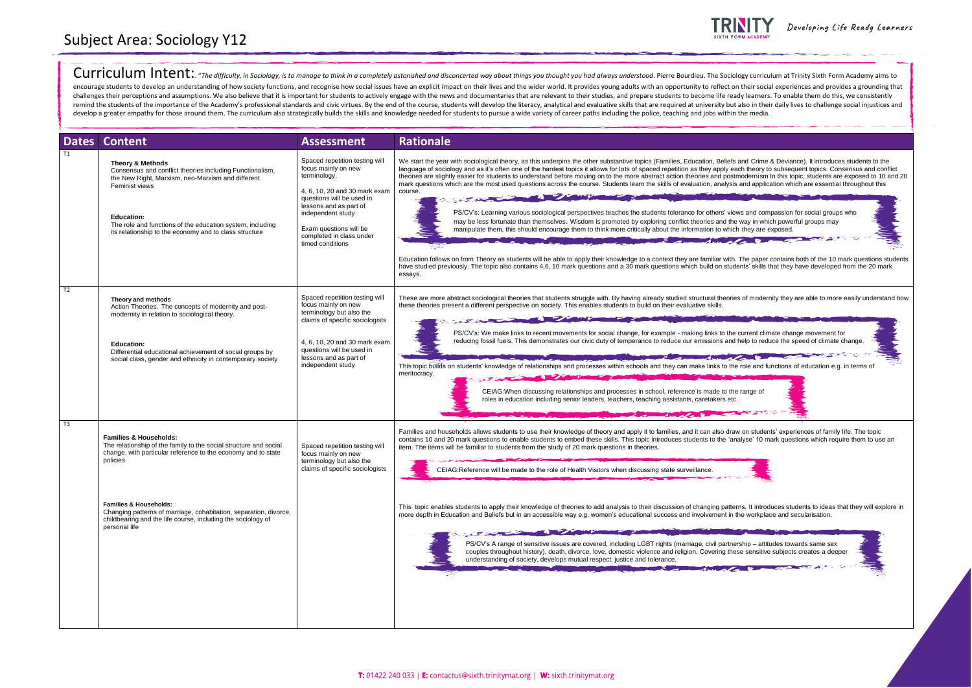Curriculum Intent: "The difficulty, in Sociology, is to manage to think in a completely astonished and disconcerted way about things you thought you had always understood. Pierre Bourdieu. The Sociology curriculum at Trini encourage students to develop an understanding of how society functions, and recognise how social issues have an explicit impact on their lives and the wider world. It provides young adults with an opportunity to reflect o challenges their perceptions and assumptions. We also believe that it is important for students to actively engage with the news and documentaries that are relevant to their studies, and prepare students to become life rea remind the students of the importance of the Academy's professional standards and civic virtues. By the end of the course, students will develop the literacy, analytical and evaluative skills that are required at universit develop a greater empathy for those around them. The curriculum also strategically builds the skills and knowledge needed for students to pursue a wide variety of career paths including the police, teaching and jobs within

|                | <b>Dates Content</b>                                                                                                                                                                                                                                                                                       | <b>Assessment</b>                                                                                                                                                                                                                                            | <b>Rationale</b>                                                                                                                                                                                                                                                                                                                                                                                                                                                                                                                                                                                                                                                                                                                                                                                                                                                                                                                                                                                                                                                                                                                                                                                                                                                                                                                                                                                                                                                                                                                                                                                                                                              |
|----------------|------------------------------------------------------------------------------------------------------------------------------------------------------------------------------------------------------------------------------------------------------------------------------------------------------------|--------------------------------------------------------------------------------------------------------------------------------------------------------------------------------------------------------------------------------------------------------------|---------------------------------------------------------------------------------------------------------------------------------------------------------------------------------------------------------------------------------------------------------------------------------------------------------------------------------------------------------------------------------------------------------------------------------------------------------------------------------------------------------------------------------------------------------------------------------------------------------------------------------------------------------------------------------------------------------------------------------------------------------------------------------------------------------------------------------------------------------------------------------------------------------------------------------------------------------------------------------------------------------------------------------------------------------------------------------------------------------------------------------------------------------------------------------------------------------------------------------------------------------------------------------------------------------------------------------------------------------------------------------------------------------------------------------------------------------------------------------------------------------------------------------------------------------------------------------------------------------------------------------------------------------------|
|                | <b>Theory &amp; Methods</b><br>Consensus and conflict theories including Functionalism,<br>the New Right, Marxism, neo-Marxism and different<br>Feminist views<br><b>Education:</b><br>The role and functions of the education system, including<br>its relationship to the economy and to class structure | Spaced repetition testing will<br>focus mainly on new<br>terminology.<br>4, 6, 10, 20 and 30 mark exam<br>questions will be used in<br>lessons and as part of<br>independent study<br>Exam questions will be<br>completed in class under<br>timed conditions | We start the year with sociological theory, as this underpins the other substantive topics (Families, Education, Beliefs and Crime & Deviance). It introduces students to the<br>language of sociology and as it's often one of the hardest topics it allows for lots of spaced repetition as they apply each theory to subsequent topics. Consensus and conflict<br>theories are slightly easier for students to understand before moving on to the more abstract action theories and postmodernism In this topic, students are exposed to 10 and 20<br>mark questions which are the most used questions across the course. Students learn the skills of evaluation, analysis and application which are essential throughout this<br>course.<br>PS/CV's: Learning various sociological perspectives teaches the students tolerance for others' views and compassion for social groups who<br>may be less fortunate than themselves. Wisdom is promoted by exploring conflict theories and the way in which powerful groups may<br>manipulate them, this should encourage them to think more critically about the information to which they are exposed.<br>The comment of the comment of the comment of the comment of the comment of the comment of the comment of the comment<br>Education follows on from Theory as students will be able to apply their knowledge to a context they are familiar with. The paper contains both of the 10 mark questions students<br>have studied previously. The topic also contains 4,6, 10 mark questions and a 30 mark questions which build on students' skills that they have developed from the 20 mark<br>essays. |
| T <sub>2</sub> | Theory and methods<br>Action Theories. The concepts of modernity and post-<br>modernity in relation to sociological theory.                                                                                                                                                                                | Spaced repetition testing will<br>focus mainly on new<br>terminology but also the<br>claims of specific sociologists                                                                                                                                         | These are more abstract sociological theories that students struggle with. By having already studied structural theories of modernity they are able to more easily understand how<br>these theories present a different perspective on society. This enables students to build on their evaluative skills.<br>PS/CV's: We make links to recent movements for social change, for example - making links to the current climate change movement for<br>reducing fossil fuels. This demonstrates our civic duty of temperance to reduce our emissions and help to reduce the speed of climate change.                                                                                                                                                                                                                                                                                                                                                                                                                                                                                                                                                                                                                                                                                                                                                                                                                                                                                                                                                                                                                                                            |
|                | <b>Education:</b><br>Differential educational achievement of social groups by<br>social class, gender and ethnicity in contemporary society                                                                                                                                                                | 4, 6, 10, 20 and 30 mark exam<br>questions will be used in<br>lessons and as part of<br>independent study                                                                                                                                                    | This topic builds on students' knowledge of relationships and processes within schools and they can make links to the role and functions of education e.g. in terms of<br>meritocracy.<br>CEIAG: When discussing relationships and processes in school, reference is made to the range of<br>roles in education including senior leaders, teachers, teaching assistants, caretakers etc.<br>watched                                                                                                                                                                                                                                                                                                                                                                                                                                                                                                                                                                                                                                                                                                                                                                                                                                                                                                                                                                                                                                                                                                                                                                                                                                                           |
| T3             | <b>Families &amp; Households:</b><br>The relationship of the family to the social structure and social<br>change, with particular reference to the economy and to state<br>policies                                                                                                                        | Spaced repetition testing will<br>focus mainly on new<br>terminology but also the<br>claims of specific sociologists                                                                                                                                         | Families and households allows students to use their knowledge of theory and apply it to families, and it can also draw on students' experiences of family life. The topic<br>contains 10 and 20 mark questions to enable students to embed these skills. This topic introduces students to the 'analyse' 10 mark questions which require them to use an<br>item. The items will be familiar to students from the study of 20 mark questions in theories.<br>CEIAG:Reference will be made to the role of Health Visitors when discussing state surveillance.                                                                                                                                                                                                                                                                                                                                                                                                                                                                                                                                                                                                                                                                                                                                                                                                                                                                                                                                                                                                                                                                                                  |
|                | <b>Families &amp; Households:</b><br>Changing patterns of marriage, cohabitation, separation, divorce,<br>childbearing and the life course, including the sociology of<br>personal life                                                                                                                    |                                                                                                                                                                                                                                                              | This topic enables students to apply their knowledge of theories to add analysis to their discussion of changing patterns. It introduces students to ideas that they will explore in<br>more depth in Education and Beliefs but in an accessible way e.g. women's educational success and involvement in the workplace and secularisation.<br><b>Contract of the Contract of the Contract of the Contract of the Contract of the Contract of the Contract of the Contract of the Contract of the Contract of the Contract of the Contract of the Contract of the Contract of t</b><br>PS/CV's A range of sensitive issues are covered, including LGBT rights (marriage, civil partnership – attitudes towards same sex<br>couples throughout history), death, divorce, love, domestic violence and religion. Covering these sensitive subjects creates a deeper<br>understanding of society, develops mutual respect, justice and tolerance.<br>وماتبع والمصارع فالهاباذ<br>$\mathcal{L} = \mathcal{L}$                                                                                                                                                                                                                                                                                                                                                                                                                                                                                                                                                                                                                                                       |



Developing Life Ready Learners





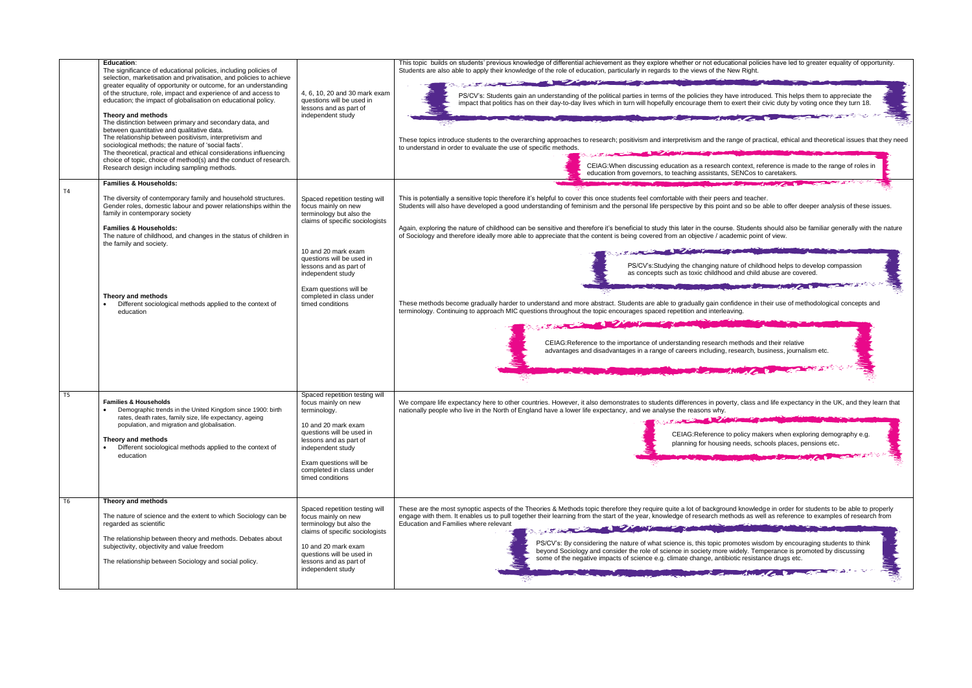| T4                               | Education:<br>The significance of educational policies, including policies of<br>selection, marketisation and privatisation, and policies to achieve<br>greater equality of opportunity or outcome, for an understanding<br>of the structure, role, impact and experience of and access to<br>education; the impact of globalisation on educational policy.<br>Theory and methods<br>The distinction between primary and secondary data, and<br>between quantitative and qualitative data.<br>The relationship between positivism, interpretivism and<br>sociological methods; the nature of 'social facts'.<br>The theoretical, practical and ethical considerations influencing<br>choice of topic, choice of method(s) and the conduct of research.<br>Research design including sampling methods.<br><b>Families &amp; Households:</b><br>The diversity of contemporary family and household structures.<br>Gender roles, domestic labour and power relationships within the<br>family in contemporary society<br><b>Families &amp; Households:</b><br>The nature of childhood, and changes in the status of children in<br>the family and society.<br>Theory and methods<br>Different sociological methods applied to the context of<br>education | 4, 6, 10, 20 and 30 mark exam<br>questions will be used in<br>lessons and as part of<br>independent study<br>Spaced repetition testing will<br>focus mainly on new<br>terminology but also the<br>claims of specific sociologists<br>10 and 20 mark exam<br>questions will be used in<br>lessons and as part of<br>independent study<br>Exam questions will be<br>completed in class under<br>timed conditions | This topic builds on students' previous knowledge of differential achievement as they explore whether or not educational policie<br>Students are also able to apply their knowledge of the role of education, particularly in regards to the views of the New Right.<br>PS/CV's: Students gain an understanding of the political parties in terms of the policies they have introduce<br>impact that politics has on their day-to-day lives which in turn will hopefully encourage them to exert their ci<br>These topics introduce students to the overarching approaches to research; positivism and interpretivism and the range of pract<br>to understand in order to evaluate the use of specific methods.<br>CEIAG: When discussing education as a research context, refe<br>education from governors, to teaching assistants, SENCos to o<br>This is potentially a sensitive topic therefore it's helpful to cover this once students feel comfortable with their peers and teacher.<br>Students will also have developed a good understanding of feminism and the personal life perspective by this point and so be al<br>Again, exploring the nature of childhood can be sensitive and therefore it's beneficial to study this later in the course. Students s<br>of Sociology and therefore ideally more able to appreciate that the content is being covered from an objective / academic point of<br>PS/CV's:Studying the changing nature of childho<br>as concepts such as toxic childhood and child at<br>These methods become gradually harder to understand and more abstract. Students are able to gradually gain confidence in th<br>terminology. Continuing to approach MIC questions throughout the topic encourages spaced repetition and interleaving.<br>CEIAG:Reference to the importance of understanding research methods and<br>advantages and disadvantages in a range of careers including, research, bus |
|----------------------------------|--------------------------------------------------------------------------------------------------------------------------------------------------------------------------------------------------------------------------------------------------------------------------------------------------------------------------------------------------------------------------------------------------------------------------------------------------------------------------------------------------------------------------------------------------------------------------------------------------------------------------------------------------------------------------------------------------------------------------------------------------------------------------------------------------------------------------------------------------------------------------------------------------------------------------------------------------------------------------------------------------------------------------------------------------------------------------------------------------------------------------------------------------------------------------------------------------------------------------------------------------------|----------------------------------------------------------------------------------------------------------------------------------------------------------------------------------------------------------------------------------------------------------------------------------------------------------------------------------------------------------------------------------------------------------------|----------------------------------------------------------------------------------------------------------------------------------------------------------------------------------------------------------------------------------------------------------------------------------------------------------------------------------------------------------------------------------------------------------------------------------------------------------------------------------------------------------------------------------------------------------------------------------------------------------------------------------------------------------------------------------------------------------------------------------------------------------------------------------------------------------------------------------------------------------------------------------------------------------------------------------------------------------------------------------------------------------------------------------------------------------------------------------------------------------------------------------------------------------------------------------------------------------------------------------------------------------------------------------------------------------------------------------------------------------------------------------------------------------------------------------------------------------------------------------------------------------------------------------------------------------------------------------------------------------------------------------------------------------------------------------------------------------------------------------------------------------------------------------------------------------------------------------------------------------------------------------------------------------------------------------------|
| T <sub>5</sub><br>T <sub>6</sub> | <b>Families &amp; Households</b><br>Demographic trends in the United Kingdom since 1900: birth<br>rates, death rates, family size, life expectancy, ageing<br>population, and migration and globalisation.<br>Theory and methods<br>Different sociological methods applied to the context of<br>education<br>Theory and methods                                                                                                                                                                                                                                                                                                                                                                                                                                                                                                                                                                                                                                                                                                                                                                                                                                                                                                                        | Spaced repetition testing will<br>focus mainly on new<br>terminology.<br>10 and 20 mark exam<br>questions will be used in<br>lessons and as part of<br>independent study<br>Exam questions will be<br>completed in class under<br>timed conditions                                                                                                                                                             | We compare life expectancy here to other countries. However, it also demonstrates to students differences in poverty, class and<br>nationally people who live in the North of England have a lower life expectancy, and we analyse the reasons why.<br>The Contract of the Contract of the Contract of the Contract of the Contract of the Contract of the Contract of<br>CEIAG: Reference to policy make<br>planning for housing needs, scho                                                                                                                                                                                                                                                                                                                                                                                                                                                                                                                                                                                                                                                                                                                                                                                                                                                                                                                                                                                                                                                                                                                                                                                                                                                                                                                                                                                                                                                                                          |
|                                  | The nature of science and the extent to which Sociology can be<br>regarded as scientific<br>The relationship between theory and methods. Debates about<br>subjectivity, objectivity and value freedom<br>The relationship between Sociology and social policy.                                                                                                                                                                                                                                                                                                                                                                                                                                                                                                                                                                                                                                                                                                                                                                                                                                                                                                                                                                                         | Spaced repetition testing will<br>focus mainly on new<br>terminology but also the<br>claims of specific sociologists<br>10 and 20 mark exam<br>questions will be used in<br>lessons and as part of<br>independent study                                                                                                                                                                                        | These are the most synoptic aspects of the Theories & Methods topic therefore they require quite a lot of background knowledg<br>engage with them. It enables us to pull together their learning from the start of the year, knowledge of research methods as well<br>Education and Families where relevant<br>the state of the state of the state of the state of the state of the state of the state of the state of the state of the state of the state of the state of the state of the state of the state of the state of the state of t<br>PS/CV's: By considering the nature of what science is, this topic promotes wisdo<br>beyond Sociology and consider the role of science in society more widely. Temp<br>some of the negative impacts of science e.g. climate change, antibiotic resistanc                                                                                                                                                                                                                                                                                                                                                                                                                                                                                                                                                                                                                                                                                                                                                                                                                                                                                                                                                                                                                                                                                                                               |

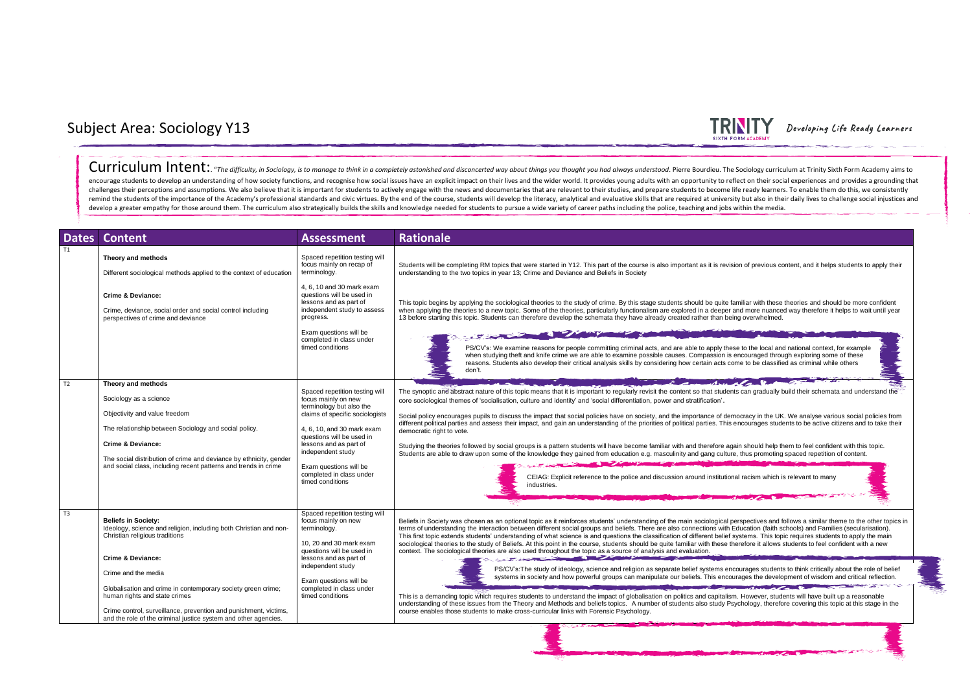

| <b>Dates</b> | <b>Content</b>                                                                                                                                                        | <b>Assessment</b>                                                                                                                                                                                                                                      | <b>Rationale</b>                                                                                                                                                                                                                                                                                                                                                                                                                                                                                                                                                                                                                                                                                                                               |
|--------------|-----------------------------------------------------------------------------------------------------------------------------------------------------------------------|--------------------------------------------------------------------------------------------------------------------------------------------------------------------------------------------------------------------------------------------------------|------------------------------------------------------------------------------------------------------------------------------------------------------------------------------------------------------------------------------------------------------------------------------------------------------------------------------------------------------------------------------------------------------------------------------------------------------------------------------------------------------------------------------------------------------------------------------------------------------------------------------------------------------------------------------------------------------------------------------------------------|
| T1           | Theory and methods<br>Different sociological methods applied to the context of education                                                                              | Spaced repetition testing will<br>focus mainly on recap of<br>terminology.                                                                                                                                                                             | Students will be completing RM topics that were started in Y12. This part of the course is also important as it is revision of previous content, and it helps students to apply their<br>understanding to the two topics in year 13; Crime and Deviance and Beliefs in Society                                                                                                                                                                                                                                                                                                                                                                                                                                                                 |
|              | <b>Crime &amp; Deviance:</b><br>Crime, deviance, social order and social control including<br>perspectives of crime and deviance                                      | 4, 6, 10 and 30 mark exam<br>questions will be used in<br>lessons and as part of<br>independent study to assess<br>progress.                                                                                                                           | This topic begins by applying the sociological theories to the study of crime. By this stage students should be quite familiar with these theories and should be more confident<br>when applying the theories to a new topic. Some of the theories, particularly functionalism are explored in a deeper and more nuanced way therefore it helps to wait until year<br>13 before starting this topic. Students can therefore develop the schemata they have already created rather than being overwhelmed.                                                                                                                                                                                                                                      |
|              |                                                                                                                                                                       | Exam questions will be<br>completed in class under<br>timed conditions                                                                                                                                                                                 | PS/CV's: We examine reasons for people committing criminal acts, and are able to apply these to the local and national context, for example<br>when studying theft and knife crime we are able to examine possible causes. Compassion is encouraged through exploring some of these<br>reasons. Students also develop their critical analysis skills by considering how certain acts come to be classified as criminal while others<br>don't.                                                                                                                                                                                                                                                                                                  |
| T2           | Theory and methods                                                                                                                                                    | Spaced repetition testing will                                                                                                                                                                                                                         | $2 - 4 - 1 + 1 + 1 + 1 + $<br>The synoptic and abstract nature of this topic means that it is important to regularly revisit the content so that students can gradually build their schemata and understand the                                                                                                                                                                                                                                                                                                                                                                                                                                                                                                                                |
|              | Sociology as a science                                                                                                                                                | focus mainly on new<br>terminology but also the                                                                                                                                                                                                        | core sociological themes of 'socialisation, culture and identity' and 'social differentiation, power and stratification'.                                                                                                                                                                                                                                                                                                                                                                                                                                                                                                                                                                                                                      |
|              | Objectivity and value freedom                                                                                                                                         | claims of specific sociologists                                                                                                                                                                                                                        | Social policy encourages pupils to discuss the impact that social policies have on society, and the importance of democracy in the UK. We analyse various social policies from<br>different political parties and assess their impact, and gain an understanding of the priorities of political parties. This encourages students to be active citizens and to take their                                                                                                                                                                                                                                                                                                                                                                      |
|              | The relationship between Sociology and social policy.                                                                                                                 | 4, 6, 10, and 30 mark exam<br>questions will be used in                                                                                                                                                                                                | democratic right to vote.                                                                                                                                                                                                                                                                                                                                                                                                                                                                                                                                                                                                                                                                                                                      |
|              | <b>Crime &amp; Deviance:</b><br>The social distribution of crime and deviance by ethnicity, gender<br>and social class, including recent patterns and trends in crime | lessons and as part of<br>independent study<br>Exam questions will be<br>completed in class under<br>timed conditions                                                                                                                                  | Studying the theories followed by social groups is a pattern students will have become familiar with and therefore again should help them to feel confident with this topic.<br>Students are able to draw upon some of the knowledge they gained from education e.g. masculinity and gang culture, thus promoting spaced repetition of content.                                                                                                                                                                                                                                                                                                                                                                                                |
|              |                                                                                                                                                                       |                                                                                                                                                                                                                                                        | CEIAG: Explicit reference to the police and discussion around institutional racism which is relevant to many<br>industries.                                                                                                                                                                                                                                                                                                                                                                                                                                                                                                                                                                                                                    |
| T3           | <b>Beliefs in Society:</b><br>Ideology, science and religion, including both Christian and non-<br>Christian religious traditions                                     | Spaced repetition testing will<br>focus mainly on new<br>terminology.<br>10, 20 and 30 mark exam<br>questions will be used in<br>lessons and as part of<br>independent study<br>Exam questions will be<br>completed in class under<br>timed conditions | Beliefs in Society was chosen as an optional topic as it reinforces students' understanding of the main sociological perspectives and follows a similar theme to the other topics in<br>terms of understanding the interaction between different social groups and beliefs. There are also connections with Education (faith schools) and Families (secularisation).<br>This first topic extends students' understanding of what science is and questions the classification of different belief systems. This topic requires students to apply the main<br>sociological theories to the study of Beliefs. At this point in the course, students should be quite familiar with these therefore it allows students to feel confident with a new |
|              | <b>Crime &amp; Deviance:</b>                                                                                                                                          |                                                                                                                                                                                                                                                        | context. The sociological theories are also used throughout the topic as a source of analysis and evaluation.<br>the contract of the contract of the contract of the contract of the contract of                                                                                                                                                                                                                                                                                                                                                                                                                                                                                                                                               |
|              | Crime and the media                                                                                                                                                   |                                                                                                                                                                                                                                                        | PS/CV's: The study of ideology, science and religion as separate belief systems encourages students to think critically about the role of belief<br>systems in society and how powerful groups can manipulate our beliefs. This encourages the development of wisdom and critical reflection.                                                                                                                                                                                                                                                                                                                                                                                                                                                  |
|              | Globalisation and crime in contemporary society green crime;<br>human rights and state crimes<br>Crime control, surveillance, prevention and punishment, victims,     |                                                                                                                                                                                                                                                        | <b>Comment of the Comment of the Comment of the Comment of the Comment of the Comment of the Comment of the Comment of the Comment of the Comment of the Comment of the Comment of the Comment of the Comment of the Comment of </b><br>This is a demanding topic which requires students to understand the impact of globalisation on politics and capitalism. However, students will have built up a reasonable<br>understanding of these issues from the Theory and Methods and beliefs topics. A number of students also study Psychology, therefore covering this topic at this stage in the<br>course enables those students to make cross-curricular links with Forensic Psychology.                                                    |
|              | and the role of the criminal justice system and other agencies.                                                                                                       |                                                                                                                                                                                                                                                        | <b>Contract of the Contract of the Contract of the Contract of the Contract of the Contract of the Contract of the</b>                                                                                                                                                                                                                                                                                                                                                                                                                                                                                                                                                                                                                         |



## Subject Area: Sociology Y13

Curriculum Intent: "The difficulty, in Sociology, is to manage to think in a completely astonished and disconcerted way about things you thought you had always understood. Pierre Bourdieu. The Sociology curriculum at Trini

encourage students to develop an understanding of how society functions, and recognise how social issues have an explicit impact on their lives and the wider world. It provides young adults with an opportunity to reflect o challenges their perceptions and assumptions. We also believe that it is important for students to actively engage with the news and documentaries that are relevant to their studies, and prepare students to become life rea remind the students of the importance of the Academy's professional standards and civic virtues. By the end of the course, students will develop the literacy, analytical and evaluative skills that are required at universit develop a greater empathy for those around them. The curriculum also strategically builds the skills and knowledge needed for students to pursue a wide variety of career paths including the police, teaching and jobs within